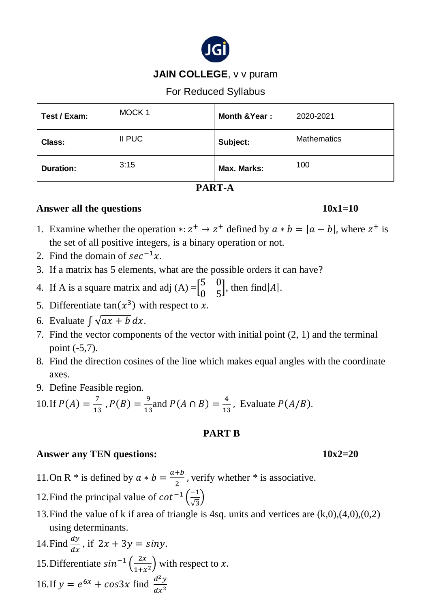

# **JAIN COLLEGE**, v v puram

For Reduced Syllabus

| Test / Exam:     | MOCK <sub>1</sub> | Month & Year: | 2020-2021          |
|------------------|-------------------|---------------|--------------------|
| Class:           | II PUC            | Subject:      | <b>Mathematics</b> |
| <b>Duration:</b> | 3:15              | Max. Marks:   | 100                |

### **PART-A**

## **Answer all the questions 10x1=10**

- 1. Examine whether the operation \*:  $z^+ \rightarrow z^+$  defined by  $a * b = |a b|$ , where  $z^+$  is the set of all positive integers, is a binary operation or not.
- 2. Find the domain of  $sec^{-1}x$ .
- 3. If a matrix has 5 elements, what are the possible orders it can have?
- 4. If A is a square matrix and adj  $(A) = \begin{bmatrix} 5 & 0 \\ 0 & 5 \end{bmatrix}$ 0 5 , then find  $|A|$ .
- 5. Differentiate  $tan(x^3)$  with respect to x.
- 6. Evaluate  $\int \sqrt{ax + b} \, dx$ .
- 7. Find the vector components of the vector with initial point (2, 1) and the terminal point (-5,7).
- 8. Find the direction cosines of the line which makes equal angles with the coordinate axes.
- 9. Define Feasible region.

10. If 
$$
P(A) = \frac{7}{13}
$$
,  $P(B) = \frac{9}{13}$  and  $P(A \cap B) = \frac{4}{13}$ , Evaluate  $P(A/B)$ .

# **PART B**

# **Answer any TEN questions:** 10x2=20

- 11.On R \* is defined by  $a * b = \frac{a+b}{2}$  $\frac{1}{2}$ , verify whether \* is associative.
- 12. Find the principal value of  $\cot^{-1}\left(\frac{-1}{\sqrt{2}}\right)$  $\frac{-1}{\sqrt{3}}$
- 13. Find the value of k if area of triangle is 4sq. units and vertices are  $(k,0)$ , $(4,0)$ , $(0,2)$ using determinants.

14. Find 
$$
\frac{dy}{dx}
$$
, if  $2x + 3y = \sin y$ .  
15. Differentiate  $\sin^{-1} \left( \frac{2x}{1 + x^2} \right)$  with respect to x.  
16. If  $y = e^{6x} + \cos 3x$  find  $\frac{d^2y}{dx^2}$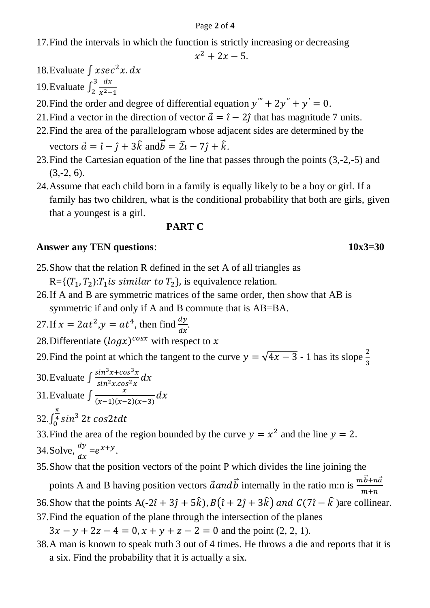#### Page **2** of **4**

17.Find the intervals in which the function is strictly increasing or decreasing

$$
x^2+2x-5
$$

- 18.Evaluate  $\int x \sec^2 x \, dx$
- 19.Evaluate  $\int_2^3 \frac{dx}{x^2}$  $x^2-1$ 3 2
- 20. Find the order and degree of differential equation  $y''' + 2y'' + y' = 0$ .
- 21. Find a vector in the direction of vector  $\vec{a} = \hat{i} 2\hat{j}$  that has magnitude 7 units.
- 22.Find the area of the parallelogram whose adjacent sides are determined by the vectors  $\vec{a} = \hat{i} - \hat{j} + 3\hat{k}$  and  $\vec{b} = 2\hat{i} - 7\hat{j} + \hat{k}$ .
- 23.Find the Cartesian equation of the line that passes through the points (3,-2,-5) and  $(3,-2, 6)$ .
- 24.Assume that each child born in a family is equally likely to be a boy or girl. If a family has two children, what is the conditional probability that both are girls, given that a youngest is a girl.

## **PART C**

### **Answer any TEN questions**: **10x3=30**

- 25.Show that the relation R defined in the set A of all triangles as  $R = \{(T_1, T_2): T_1$  is similar to  $T_2\}$ , is equivalence relation.
- 26.If A and B are symmetric matrices of the same order, then show that AB is symmetric if and only if A and B commute that is AB=BA.

27. If 
$$
x = 2at^2
$$
,  $y = at^4$ , then find  $\frac{dy}{dx}$ .

- 28. Differentiate  $(log x)^{cos x}$  with respect to x
- 29. Find the point at which the tangent to the curve  $y = \sqrt{4x 3}$  1 has its slope  $\frac{2}{3}$
- 30.Evaluate  $\int \frac{\sin^3 x + \cos^3 x}{\sin^2 x \cos^2 x}$  $\frac{\sin x + \cos x}{\sin^2 x \cdot \cos^2 x} dx$ 31.Evaluate  $\int \frac{x}{(x-1)(x-1)} dx$  $\frac{x}{(x-1)(x-2)(x-3)}dx$
- 32. $\int_{0}^{\frac{\pi}{4}} \sin^3$  $\int_0^4 \sin^3 2t \cos 2t dt$

33. Find the area of the region bounded by the curve  $y = x^2$  and the line  $y = 2$ . 34. Solve,  $\frac{dy}{dx}$  $\frac{dy}{dx} = e^{x+y}$ .

35.Show that the position vectors of the point P which divides the line joining the

points A and B having position vectors  $\vec{a}$  and  $\vec{b}$  internally in the ratio m:n is  $\frac{m\vec{b}+n\vec{a}}{m+n}$ 

- 36.Show that the points A(-2 $\hat{i}$  + 3 $\hat{j}$  + 5 $\hat{k}$ ),  $B(\hat{i} + 2\hat{j} + 3\hat{k})$  and  $C(7\hat{i} \hat{k})$  are collinear. 37.Find the equation of the plane through the intersection of the planes
- $3x y + 2z 4 = 0, x + y + z 2 = 0$  and the point (2, 2, 1).
- 38.A man is known to speak truth 3 out of 4 times. He throws a die and reports that it is a six. Find the probability that it is actually a six.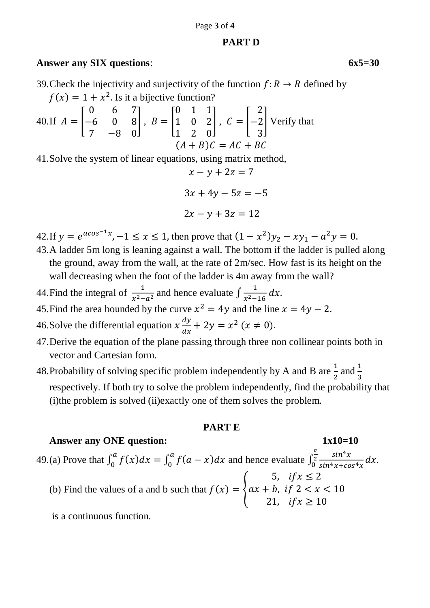#### Page **3** of **4**

## **PART D**

# **Answer any SIX questions**: **6x5=30**

39. Check the injectivity and surjectivity of the function  $f: R \to R$  defined by  $f(x) = 1 + x^2$ . Is it a bijective function?

40. If 
$$
A = \begin{bmatrix} 0 & 6 & 7 \\ -6 & 0 & 8 \\ 7 & -8 & 0 \end{bmatrix}
$$
,  $B = \begin{bmatrix} 0 & 1 & 1 \\ 1 & 0 & 2 \\ 1 & 2 & 0 \end{bmatrix}$ ,  $C = \begin{bmatrix} 2 \\ -2 \\ 3 \end{bmatrix}$  Verify that   
  $(A + B)C = AC + BC$ 

41.Solve the system of linear equations, using matrix method,

$$
x - y + 2z = 7
$$

$$
3x + 4y - 5z = -5
$$

$$
2x - y + 3z = 12
$$

- 42. If  $y = e^{a\cos^{-1}x}$ ,  $-1 \le x \le 1$ , then prove that  $(1 x^2)y_2 xy_1 a^2y = 0$ .
- 43.A ladder 5m long is leaning against a wall. The bottom if the ladder is pulled along the ground, away from the wall, at the rate of 2m/sec. How fast is its height on the wall decreasing when the foot of the ladder is 4m away from the wall?
- 44. Find the integral of  $\frac{1}{x^2-a^2}$  and hence evaluate  $\int \frac{1}{x^2-a^2}$  $\frac{1}{x^2-16} dx$ .
- 45. Find the area bounded by the curve  $x^2 = 4y$  and the line  $x = 4y 2$ .

46. Solve the differential equation  $x \frac{dy}{dx}$  $\frac{dy}{dx} + 2y = x^2 (x \neq 0).$ 

- 47.Derive the equation of the plane passing through three non collinear points both in vector and Cartesian form.
- 48. Probability of solving specific problem independently by A and B are  $\frac{1}{2}$  and  $\frac{1}{3}$ respectively. If both try to solve the problem independently, find the probability that (i)the problem is solved (ii)exactly one of them solves the problem.

### **PART E**

### **Answer any ONE question: 1x10=10**

49.(a) Prove that  $\int_0^a f(x) dx = \int_0^a f(a - x) dx$  $\alpha$  $\int_0^a f(x)dx = \int_0^a f(a-x)dx$  and hence evaluate  $\int_0^{\frac{\pi}{2}} \frac{\sin^4 x}{\sin^4 x + c_0}$  $\frac{\sin x}{\sin^4 x + \cos^4 x} dx.$  $\pi$  $\begin{matrix} 2 \\ 0 \end{matrix}$ (b) Find the values of a and b such that  $f(x) = \{$ 5,  $if x \leq 2$  $ax + b$ , if  $2 < x < 10$ 21,  $if x \ge 10$ 

is a continuous function.